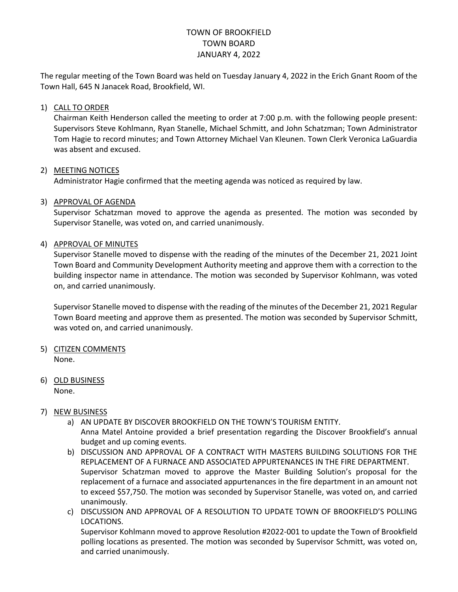# TOWN OF BROOKFIELD TOWN BOARD JANUARY 4, 2022

The regular meeting of the Town Board was held on Tuesday January 4, 2022 in the Erich Gnant Room of the Town Hall, 645 N Janacek Road, Brookfield, WI.

## 1) CALL TO ORDER

Chairman Keith Henderson called the meeting to order at 7:00 p.m. with the following people present: Supervisors Steve Kohlmann, Ryan Stanelle, Michael Schmitt, and John Schatzman; Town Administrator Tom Hagie to record minutes; and Town Attorney Michael Van Kleunen. Town Clerk Veronica LaGuardia was absent and excused.

## 2) MEETING NOTICES

Administrator Hagie confirmed that the meeting agenda was noticed as required by law.

## 3) APPROVAL OF AGENDA

Supervisor Schatzman moved to approve the agenda as presented. The motion was seconded by Supervisor Stanelle, was voted on, and carried unanimously.

## 4) APPROVAL OF MINUTES

Supervisor Stanelle moved to dispense with the reading of the minutes of the December 21, 2021 Joint Town Board and Community Development Authority meeting and approve them with a correction to the building inspector name in attendance. The motion was seconded by Supervisor Kohlmann, was voted on, and carried unanimously.

Supervisor Stanelle moved to dispense with the reading of the minutes of the December 21, 2021 Regular Town Board meeting and approve them as presented. The motion was seconded by Supervisor Schmitt, was voted on, and carried unanimously.

- 5) CITIZEN COMMENTS None.
- 6) OLD BUSINESS None.

#### 7) NEW BUSINESS

a) AN UPDATE BY DISCOVER BROOKFIELD ON THE TOWN'S TOURISM ENTITY.

Anna Matel Antoine provided a brief presentation regarding the Discover Brookfield's annual budget and up coming events.

- b) DISCUSSION AND APPROVAL OF A CONTRACT WITH MASTERS BUILDING SOLUTIONS FOR THE REPLACEMENT OF A FURNACE AND ASSOCIATED APPURTENANCES IN THE FIRE DEPARTMENT. Supervisor Schatzman moved to approve the Master Building Solution's proposal for the replacement of a furnace and associated appurtenances in the fire department in an amount not to exceed \$57,750. The motion was seconded by Supervisor Stanelle, was voted on, and carried unanimously.
- c) DISCUSSION AND APPROVAL OF A RESOLUTION TO UPDATE TOWN OF BROOKFIELD'S POLLING LOCATIONS.

Supervisor Kohlmann moved to approve Resolution #2022-001 to update the Town of Brookfield polling locations as presented. The motion was seconded by Supervisor Schmitt, was voted on, and carried unanimously.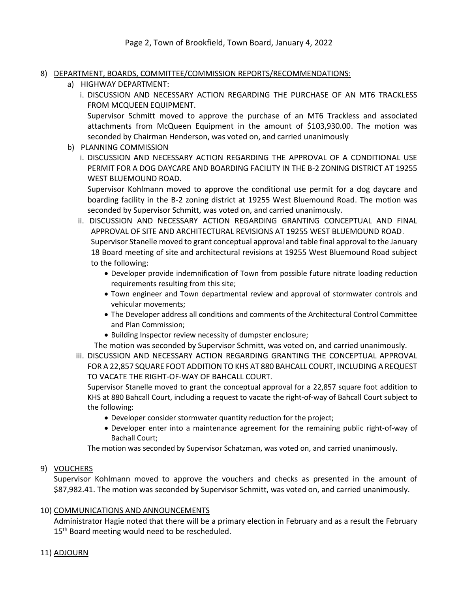- 8) DEPARTMENT, BOARDS, COMMITTEE/COMMISSION REPORTS/RECOMMENDATIONS:
	- a) HIGHWAY DEPARTMENT:
		- i. DISCUSSION AND NECESSARY ACTION REGARDING THE PURCHASE OF AN MT6 TRACKLESS FROM MCQUEEN EQUIPMENT.

Supervisor Schmitt moved to approve the purchase of an MT6 Trackless and associated attachments from McQueen Equipment in the amount of \$103,930.00. The motion was seconded by Chairman Henderson, was voted on, and carried unanimously

- b) PLANNING COMMISSION
	- i. DISCUSSION AND NECESSARY ACTION REGARDING THE APPROVAL OF A CONDITIONAL USE PERMIT FOR A DOG DAYCARE AND BOARDING FACILITY IN THE B-2 ZONING DISTRICT AT 19255 WEST BLUEMOUND ROAD.

Supervisor Kohlmann moved to approve the conditional use permit for a dog daycare and boarding facility in the B-2 zoning district at 19255 West Bluemound Road. The motion was seconded by Supervisor Schmitt, was voted on, and carried unanimously.

- ii. DISCUSSION AND NECESSARY ACTION REGARDING GRANTING CONCEPTUAL AND FINAL APPROVAL OF SITE AND ARCHITECTURAL REVISIONS AT 19255 WEST BLUEMOUND ROAD. Supervisor Stanelle moved to grant conceptual approval and table final approval to the January 18 Board meeting of site and architectural revisions at 19255 West Bluemound Road subject to the following:
	- Developer provide indemnification of Town from possible future nitrate loading reduction requirements resulting from this site;
	- Town engineer and Town departmental review and approval of stormwater controls and vehicular movements;
	- The Developer address all conditions and comments of the Architectural Control Committee and Plan Commission;
	- Building Inspector review necessity of dumpster enclosure;

The motion was seconded by Supervisor Schmitt, was voted on, and carried unanimously.

iii. DISCUSSION AND NECESSARY ACTION REGARDING GRANTING THE CONCEPTUAL APPROVAL FOR A 22,857 SQUARE FOOT ADDITION TO KHS AT 880 BAHCALL COURT, INCLUDING A REQUEST TO VACATE THE RIGHT-OF-WAY OF BAHCALL COURT.

Supervisor Stanelle moved to grant the conceptual approval for a 22,857 square foot addition to KHS at 880 Bahcall Court, including a request to vacate the right-of-way of Bahcall Court subject to the following:

- Developer consider stormwater quantity reduction for the project;
- Developer enter into a maintenance agreement for the remaining public right-of-way of Bachall Court;

The motion was seconded by Supervisor Schatzman, was voted on, and carried unanimously.

# 9) VOUCHERS

Supervisor Kohlmann moved to approve the vouchers and checks as presented in the amount of \$87,982.41. The motion was seconded by Supervisor Schmitt, was voted on, and carried unanimously.

#### 10) COMMUNICATIONS AND ANNOUNCEMENTS

Administrator Hagie noted that there will be a primary election in February and as a result the February 15<sup>th</sup> Board meeting would need to be rescheduled.

# 11) ADJOURN